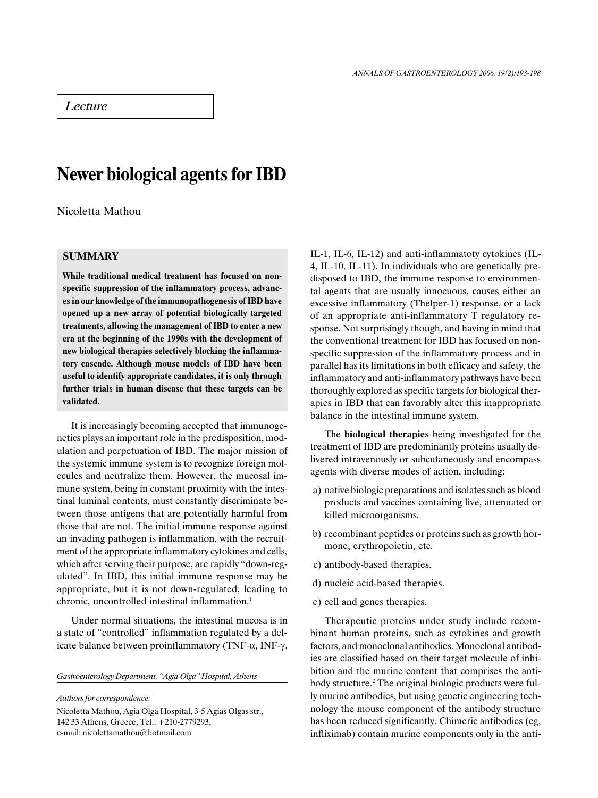# Lecture

# Newer biological agents for IBD

Nicoletta Mathou

# **SUMMARY**

While traditional medical treatment has focused on nonspecific suppression of the inflammatory process, advances in our knowledge of the immunopathogenesis of IBD have opened up a new array of potential biologically targeted treatments, allowing the management of IBD to enter a new era at the beginning of the 1990s with the development of new biological therapies selectively blocking the inflammatory cascade. Although mouse models of IBD have been useful to identify appropriate candidates, it is only through further trials in human disease that these targets can be validated.

It is increasingly becoming accepted that immunogenetics plays an important role in the predisposition, modulation and perpetuation of IBD. The major mission of the systemic immune system is to recognize foreign molecules and neutralize them. However, the mucosal immune system, being in constant proximity with the intestinal luminal contents, must constantly discriminate between those antigens that are potentially harmful from those that are not. The initial immune response against an invading pathogen is inflammation, with the recruitment of the appropriate inflammatory cytokines and cells, which after serving their purpose, are rapidly "down-regulated". In IBD, this initial immune response may be appropriate, but it is not down-regulated, leading to chronic, uncontrolled intestinal inflammation.<sup>1</sup>

Under normal situations, the intestinal mucosa is in a state of "controlled" inflammation regulated by a delicate balance between proinflammatory (TNF- $\alpha$ , INF- $\gamma$ ,

Gastroenterology Department, "Agia Olga" Hospital, Athens

Authors for correspondence:

Nicoletta Mathou, Agia Olga Hospital, 3-5 Agias Olgas str., 142 33 Athens, Greece, Tel.: +210-2779293, e-mail: nicolettamathou@hotmail.com

IL-1, IL-6, IL-12) and anti-inflammatoty cytokines (IL-4, IL-10, IL-11). In individuals who are genetically predisposed to IBD, the immune response to environmental agents that are usually innocuous, causes either an excessive inflammatory (Thelper-1) response, or a lack of an appropriate anti-inflammatory T regulatory response. Not surprisingly though, and having in mind that the conventional treatment for IBD has focused on nonspecific suppression of the inflammatory process and in parallel has its limitations in both efficacy and safety, the inflammatory and anti-inflammatory pathways have been thoroughly explored as specific targets for biological therapies in IBD that can favorably alter this inappropriate balance in the intestinal immune system.

The biological therapies being investigated for the treatment of IBD are predominantly proteins usually delivered intravenously or subcutaneously and encompass agents with diverse modes of action, including:

- a) native biologic preparations and isolates such as blood products and vaccines containing live, attenuated or killed microorganisms.
- b) recombinant peptides or proteins such as growth hormone, erythropoietin, etc.
- c) antibody-based therapies.
- d) nucleic acid-based therapies.
- e) cell and genes therapies.

Therapeutic proteins under study include recombinant human proteins, such as cytokines and growth factors, and monoclonal antibodies. Monoclonal antibodies are classified based on their target molecule of inhibition and the murine content that comprises the antibody structure.<sup>2</sup> The original biologic products were fully murine antibodies, but using genetic engineering technology the mouse component of the antibody structure has been reduced significantly. Chimeric antibodies (eg, infliximab) contain murine components only in the anti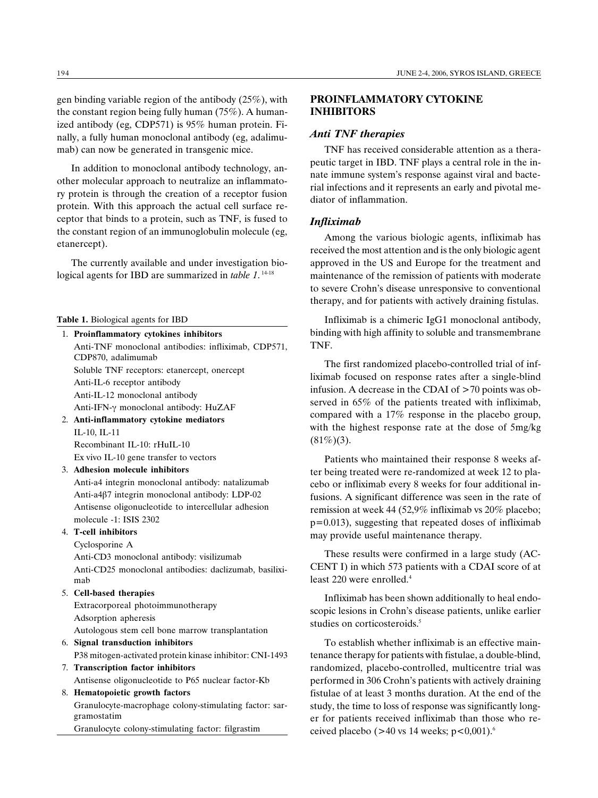gen binding variable region of the antibody (25%), with the constant region being fully human (75%). A humanized antibody (eg, CDP571) is 95% human protein. Finally, a fully human monoclonal antibody (eg, adalimumab) can now be generated in transgenic mice.

In addition to monoclonal antibody technology, another molecular approach to neutralize an inflammatory protein is through the creation of a receptor fusion protein. With this approach the actual cell surface receptor that binds to a protein, such as TNF, is fused to the constant region of an immunoglobulin molecule (eg, etanercept).

The currently available and under investigation biological agents for IBD are summarized in *table 1*.<sup>14-18</sup>

Table 1. Biological agents for IBD

- 1. Proinflammatory cytokines inhibitors Anti-TNF monoclonal antibodies: infliximab, CDP571, CDP870, adalimumab Soluble TNF receptors: etanercept, onercept Anti-IL-6 receptor antibody Anti-IL-12 monoclonal antibody Anti-IFN-γ monoclonal antibody: HuZAF 2. Anti-inflammatory cytokine mediators
	- IL-10, IL-11 Recombinant IL-10: rHuIL-10 Ex vivo IL-10 gene transfer to vectors

3. Adhesion molecule inhibitors

Anti-a4 integrin monoclonal antibody: natalizumab Anti-a4â7 integrin monoclonal antibody: LDP-02 Antisense oligonucleotide to intercellular adhesion molecule -1: ISIS 2302

## 4. T-cell inhibitors

Cyclosporine A Anti-CD3 monoclonal antibody: visilizumab Anti-CD25 monoclonal antibodies: daclizumab, basiliximab

5. Cell-based therapies

Extracorporeal photoimmunotherapy Adsorption apheresis

- Autologous stem cell bone marrow transplantation
- 6. Signal transduction inhibitors
- P38 mitogen-activated protein kinase inhibitor: CNI-1493
- 7. Transcription factor inhibitors Antisense oligonucleotide to P65 nuclear factor-Kb
- 8. Hematopoietic growth factors Granulocyte-macrophage colony-stimulating factor: sargramostatim Granulocyte colony-stimulating factor: filgrastim

## PROINFLAMMATORY CYTOKINE INHIBITORS

## Anti TNF therapies

TNF has received considerable attention as a therapeutic target in IBD. TNF plays a central role in the innate immune system's response against viral and bacterial infections and it represents an early and pivotal mediator of inflammation.

#### Infliximab

Among the various biologic agents, infliximab has received the most attention and is the only biologic agent approved in the US and Europe for the treatment and maintenance of the remission of patients with moderate to severe Crohn's disease unresponsive to conventional therapy, and for patients with actively draining fistulas.

Infliximab is a chimeric IgG1 monoclonal antibody, binding with high affinity to soluble and transmembrane TNF.

The first randomized placebo-controlled trial of infliximab focused on response rates after a single-blind infusion. A decrease in the CDAI of >70 points was observed in 65% of the patients treated with infliximab, compared with a 17% response in the placebo group, with the highest response rate at the dose of 5mg/kg  $(81\%)(3)$ .

Patients who maintained their response 8 weeks after being treated were re-randomized at week 12 to placebo or infliximab every 8 weeks for four additional infusions. A significant difference was seen in the rate of remission at week 44 (52,9% infliximab vs 20% placebo; p=0.013), suggesting that repeated doses of infliximab may provide useful maintenance therapy.

These results were confirmed in a large study (AC-CENT I) in which 573 patients with a CDAI score of at least 220 were enrolled.<sup>4</sup>

Infliximab has been shown additionally to heal endoscopic lesions in Crohn's disease patients, unlike earlier studies on corticosteroids.<sup>5</sup>

To establish whether infliximab is an effective maintenance therapy for patients with fistulae, a double-blind, randomized, placebo-controlled, multicentre trial was performed in 306 Crohn's patients with actively draining fistulae of at least 3 months duration. At the end of the study, the time to loss of response was significantly longer for patients received infliximab than those who received placebo ( $>40$  vs 14 weeks;  $p < 0.001$ ).<sup>6</sup>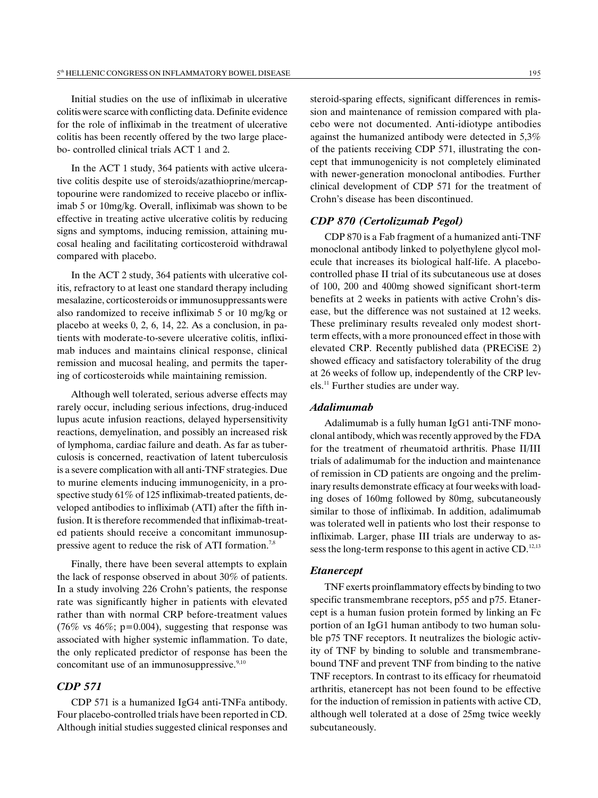Initial studies on the use of infliximab in ulcerative colitis were scarce with conflicting data. Definite evidence for the role of infliximab in the treatment of ulcerative colitis has been recently offered by the two large placebo- controlled clinical trials ACT 1 and 2.

In the ACT 1 study, 364 patients with active ulcerative colitis despite use of steroids/azathioprine/mercaptopourine were randomized to receive placebo or infliximab 5 or 10mg/kg. Overall, infliximab was shown to be effective in treating active ulcerative colitis by reducing signs and symptoms, inducing remission, attaining mucosal healing and facilitating corticosteroid withdrawal compared with placebo.

In the ACT 2 study, 364 patients with ulcerative colitis, refractory to at least one standard therapy including mesalazine, corticosteroids or immunosuppressants were also randomized to receive infliximab 5 or 10 mg/kg or placebo at weeks 0, 2, 6, 14, 22. As a conclusion, in patients with moderate-to-severe ulcerative colitis, infliximab induces and maintains clinical response, clinical remission and mucosal healing, and permits the tapering of corticosteroids while maintaining remission.

Although well tolerated, serious adverse effects may rarely occur, including serious infections, drug-induced lupus acute infusion reactions, delayed hypersensitivity reactions, demyelination, and possibly an increased risk of lymphoma, cardiac failure and death. As far as tuberculosis is concerned, reactivation of latent tuberculosis is a severe complication with all anti-TNF strategies. Due to murine elements inducing immunogenicity, in a prospective study 61% of 125 infliximab-treated patients, developed antibodies to infliximab (ATI) after the fifth infusion. It is therefore recommended that infliximab-treated patients should receive a concomitant immunosuppressive agent to reduce the risk of ATI formation.<sup>7,8</sup>

Finally, there have been several attempts to explain the lack of response observed in about 30% of patients. In a study involving 226 Crohn's patients, the response rate was significantly higher in patients with elevated rather than with normal CRP before-treatment values (76% vs 46%; p=0.004), suggesting that response was associated with higher systemic inflammation. To date, the only replicated predictor of response has been the concomitant use of an immunosuppressive. $9,10$ 

# CDP 571

CDP 571 is a humanized IgG4 anti-TNFa antibody. Four placebo-controlled trials have been reported in CD. Although initial studies suggested clinical responses and steroid-sparing effects, significant differences in remission and maintenance of remission compared with placebo were not documented. Anti-idiotype antibodies against the humanized antibody were detected in 5,3% of the patients receiving CDP 571, illustrating the concept that immunogenicity is not completely eliminated with newer-generation monoclonal antibodies. Further clinical development of CDP 571 for the treatment of Crohn's disease has been discontinued.

## CDP 870 (Certolizumab Pegol)

CDP 870 is a Fab fragment of a humanized anti-TNF monoclonal antibody linked to polyethylene glycol molecule that increases its biological half-life. A placebocontrolled phase II trial of its subcutaneous use at doses of 100, 200 and 400mg showed significant short-term benefits at 2 weeks in patients with active Crohn's disease, but the difference was not sustained at 12 weeks. These preliminary results revealed only modest shortterm effects, with a more pronounced effect in those with elevated CRP. Recently published data (PRECiSE 2) showed efficacy and satisfactory tolerability of the drug at 26 weeks of follow up, independently of the CRP levels.11 Further studies are under way.

#### Adalimumab

Adalimumab is a fully human IgG1 anti-TNF monoclonal antibody, which was recently approved by the FDA for the treatment of rheumatoid arthritis. Phase II/III trials of adalimumab for the induction and maintenance of remission in CD patients are ongoing and the preliminary results demonstrate efficacy at four weeks with loading doses of 160mg followed by 80mg, subcutaneously similar to those of infliximab. In addition, adalimumab was tolerated well in patients who lost their response to infliximab. Larger, phase III trials are underway to assess the long-term response to this agent in active CD.<sup>12,13</sup>

#### Etanercept

TNF exerts proinflammatory effects by binding to two specific transmembrane receptors, p55 and p75. Etanercept is a human fusion protein formed by linking an Fc portion of an IgG1 human antibody to two human soluble p75 TNF receptors. It neutralizes the biologic activity of TNF by binding to soluble and transmembranebound TNF and prevent TNF from binding to the native TNF receptors. In contrast to its efficacy for rheumatoid arthritis, etanercept has not been found to be effective for the induction of remission in patients with active CD, although well tolerated at a dose of 25mg twice weekly subcutaneously.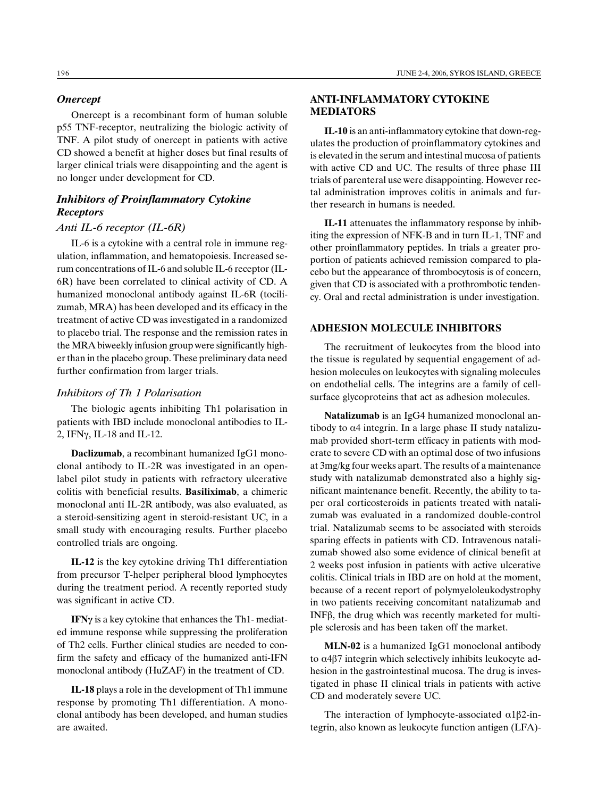#### **Onercept**

Onercept is a recombinant form of human soluble p55 TNF-receptor, neutralizing the biologic activity of TNF. A pilot study of onercept in patients with active CD showed a benefit at higher doses but final results of larger clinical trials were disappointing and the agent is no longer under development for CD.

# Inhibitors of Proinflammatory Cytokine **Receptors**

#### Anti IL-6 receptor (IL-6R)

IL-6 is a cytokine with a central role in immune regulation, inflammation, and hematopoiesis. Increased serum concentrations of IL-6 and soluble IL-6 receptor (IL-6R) have been correlated to clinical activity of CD. A humanized monoclonal antibody against IL-6R (tocilizumab, MRA) has been developed and its efficacy in the treatment of active CD was investigated in a randomized to placebo trial. The response and the remission rates in the MRA biweekly infusion group were significantly higher than in the placebo group. These preliminary data need further confirmation from larger trials.

## Inhibitors of Th 1 Polarisation

The biologic agents inhibiting Th1 polarisation in patients with IBD include monoclonal antibodies to IL-2, IFN $\gamma$ , IL-18 and IL-12.

Daclizumab, a recombinant humanized IgG1 monoclonal antibody to IL-2R was investigated in an openlabel pilot study in patients with refractory ulcerative colitis with beneficial results. Basiliximab, a chimeric monoclonal anti IL-2R antibody, was also evaluated, as a steroid-sensitizing agent in steroid-resistant UC, in a small study with encouraging results. Further placebo controlled trials are ongoing.

IL-12 is the key cytokine driving Th1 differentiation from precursor T-helper peripheral blood lymphocytes during the treatment period. A recently reported study was significant in active CD.

IFN $\gamma$  is a key cytokine that enhances the Th1- mediated immune response while suppressing the proliferation of Th2 cells. Further clinical studies are needed to confirm the safety and efficacy of the humanized anti-IFN monoclonal antibody (HuZAF) in the treatment of CD.

IL-18 plays a role in the development of Th1 immune response by promoting Th1 differentiation. A monoclonal antibody has been developed, and human studies are awaited.

## ANTI-INFLAMMATORY CYTOKINE MEDIATORS

IL-10 is an anti-inflammatory cytokine that down-regulates the production of proinflammatory cytokines and is elevated in the serum and intestinal mucosa of patients with active CD and UC. The results of three phase III trials of parenteral use were disappointing. However rectal administration improves colitis in animals and further research in humans is needed.

IL-11 attenuates the inflammatory response by inhibiting the expression of NFK-B and in turn IL-1, TNF and other proinflammatory peptides. In trials a greater proportion of patients achieved remission compared to placebo but the appearance of thrombocytosis is of concern, given that CD is associated with a prothrombotic tendency. Oral and rectal administration is under investigation.

## ADHESION MOLECULE INHIBITORS

The recruitment of leukocytes from the blood into the tissue is regulated by sequential engagement of adhesion molecules on leukocytes with signaling molecules on endothelial cells. The integrins are a family of cellsurface glycoproteins that act as adhesion molecules.

Natalizumab is an IgG4 humanized monoclonal antibody to  $\alpha$ 4 integrin. In a large phase II study natalizumab provided short-term efficacy in patients with moderate to severe CD with an optimal dose of two infusions at 3mg/kg four weeks apart. The results of a maintenance study with natalizumab demonstrated also a highly significant maintenance benefit. Recently, the ability to taper oral corticosteroids in patients treated with natalizumab was evaluated in a randomized double-control trial. Natalizumab seems to be associated with steroids sparing effects in patients with CD. Intravenous natalizumab showed also some evidence of clinical benefit at 2 weeks post infusion in patients with active ulcerative colitis. Clinical trials in IBD are on hold at the moment, because of a recent report of polymyeloleukodystrophy in two patients receiving concomitant natalizumab and INFâ, the drug which was recently marketed for multiple sclerosis and has been taken off the market.

MLN-02 is a humanized IgG1 monoclonal antibody to  $\alpha$ 4 $\beta$ 7 integrin which selectively inhibits leukocyte adhesion in the gastrointestinal mucosa. The drug is investigated in phase II clinical trials in patients with active CD and moderately severe UC.

The interaction of lymphocyte-associated  $\alpha$ 1 $\beta$ 2-integrin, also known as leukocyte function antigen (LFA)-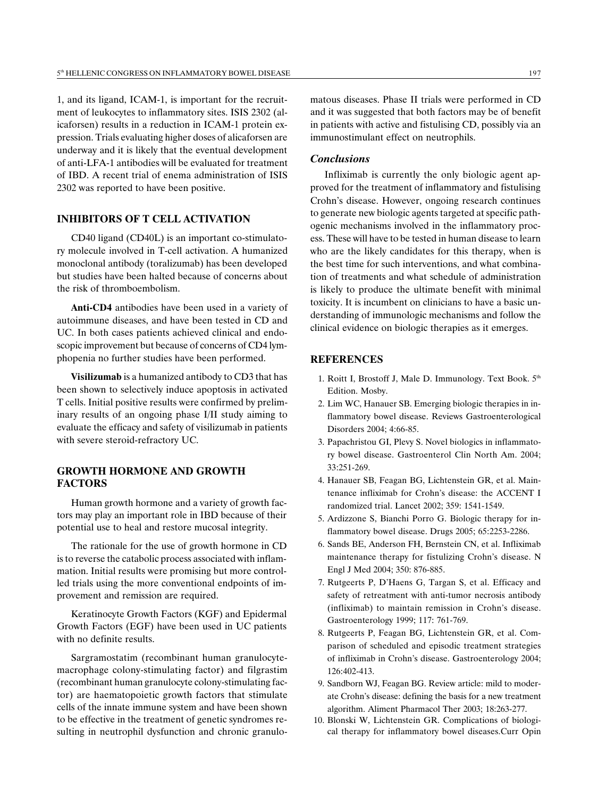1, and its ligand, ICAM-1, is important for the recruitment of leukocytes to inflammatory sites. ISIS 2302 (alicaforsen) results in a reduction in ICAM-1 protein expression. Trials evaluating higher doses of alicaforsen are underway and it is likely that the eventual development of anti-LFA-1 antibodies will be evaluated for treatment of IBD. A recent trial of enema administration of ISIS 2302 was reported to have been positive.

## INHIBITORS OF T CELL ACTIVATION

CD40 ligand (CD40L) is an important co-stimulatory molecule involved in T-cell activation. A humanized monoclonal antibody (toralizumab) has been developed but studies have been halted because of concerns about the risk of thromboembolism.

Anti-CD4 antibodies have been used in a variety of autoimmune diseases, and have been tested in CD and UC. In both cases patients achieved clinical and endoscopic improvement but because of concerns of CD4 lymphopenia no further studies have been performed.

Visilizumab is a humanized antibody to CD3 that has been shown to selectively induce apoptosis in activated T cells. Initial positive results were confirmed by preliminary results of an ongoing phase I/II study aiming to evaluate the efficacy and safety of visilizumab in patients with severe steroid-refractory UC.

## GROWTH HORMONE AND GROWTH FACTORS

Human growth hormone and a variety of growth factors may play an important role in IBD because of their potential use to heal and restore mucosal integrity.

The rationale for the use of growth hormone in CD is to reverse the catabolic process associated with inflammation. Initial results were promising but more controlled trials using the more conventional endpoints of improvement and remission are required.

Keratinocyte Growth Factors (KGF) and Epidermal Growth Factors (EGF) have been used in UC patients with no definite results.

Sargramostatim (recombinant human granulocytemacrophage colony-stimulating factor) and filgrastim (recombinant human granulocyte colony-stimulating factor) are haematopoietic growth factors that stimulate cells of the innate immune system and have been shown to be effective in the treatment of genetic syndromes resulting in neutrophil dysfunction and chronic granulomatous diseases. Phase II trials were performed in CD and it was suggested that both factors may be of benefit in patients with active and fistulising CD, possibly via an immunostimulant effect on neutrophils.

#### **Conclusions**

Infliximab is currently the only biologic agent approved for the treatment of inflammatory and fistulising Crohn's disease. However, ongoing research continues to generate new biologic agents targeted at specific pathogenic mechanisms involved in the inflammatory process. These will have to be tested in human disease to learn who are the likely candidates for this therapy, when is the best time for such interventions, and what combination of treatments and what schedule of administration is likely to produce the ultimate benefit with minimal toxicity. It is incumbent on clinicians to have a basic understanding of immunologic mechanisms and follow the clinical evidence on biologic therapies as it emerges.

#### REFERENCES

- 1. Roitt I, Brostoff J, Male D. Immunology. Text Book.  $5<sup>th</sup>$ Edition. Mosby.
- 2. Lim WC, Hanauer SB. Emerging biologic therapies in inflammatory bowel disease. Reviews Gastroenterological Disorders 2004; 4:66-85.
- 3. Papachristou GI, Plevy S. Novel biologics in inflammatory bowel disease. Gastroenterol Clin North Am. 2004; 33:251-269.
- 4. Hanauer SB, Feagan BG, Lichtenstein GR, et al. Maintenance infliximab for Crohn's disease: the ACCENT I randomized trial. Lancet 2002; 359: 1541-1549.
- 5. Ardizzone S, Bianchi Porro G. Biologic therapy for inflammatory bowel disease. Drugs 2005; 65:2253-2286.
- 6. Sands BE, Anderson FH, Bernstein CN, et al. Infliximab maintenance therapy for fistulizing Crohn's disease. N Engl J Med 2004; 350: 876-885.
- 7. Rutgeerts P, D'Haens G, Targan S, et al. Efficacy and safety of retreatment with anti-tumor necrosis antibody (infliximab) to maintain remission in Crohn's disease. Gastroenterology 1999; 117: 761-769.
- 8. Rutgeerts P, Feagan BG, Lichtenstein GR, et al. Comparison of scheduled and episodic treatment strategies of infliximab in Crohn's disease. Gastroenterology 2004; 126:402-413.
- 9. Sandborn WJ, Feagan BG. Review article: mild to moderate Crohn's disease: defining the basis for a new treatment algorithm. Aliment Pharmacol Ther 2003; 18:263-277.
- 10. Blonski W, Lichtenstein GR. Complications of biological therapy for inflammatory bowel diseases.Curr Opin